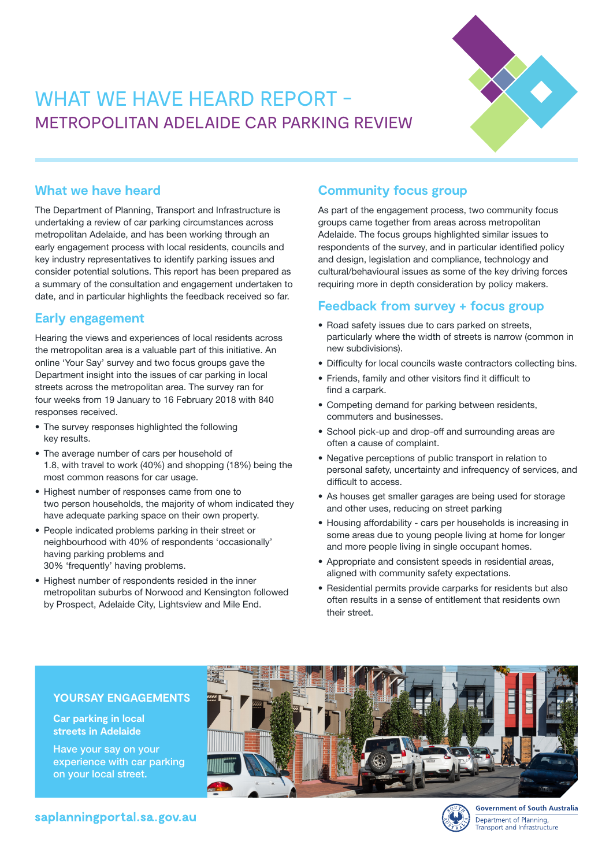# WHAT WE HAVE HEARD REPORT -METROPOLITAN ADELAIDE CAR PARKING REVIEW



## **What we have heard**

The Department of Planning, Transport and Infrastructure is undertaking a review of car parking circumstances across metropolitan Adelaide, and has been working through an early engagement process with local residents, councils and key industry representatives to identify parking issues and consider potential solutions. This report has been prepared as a summary of the consultation and engagement undertaken to date, and in particular highlights the feedback received so far.

## **Early engagement**

Hearing the views and experiences of local residents across the metropolitan area is a valuable part of this initiative. An online 'Your Say' survey and two focus groups gave the Department insight into the issues of car parking in local streets across the metropolitan area. The survey ran for four weeks from 19 January to 16 February 2018 with 840 responses received.

- The survey responses highlighted the following key results.
- The average number of cars per household of 1.8, with travel to work (40%) and shopping (18%) being the most common reasons for car usage.
- Highest number of responses came from one to two person households, the majority of whom indicated they have adequate parking space on their own property.
- People indicated problems parking in their street or neighbourhood with 40% of respondents 'occasionally' having parking problems and 30% 'frequently' having problems.
- Highest number of respondents resided in the inner metropolitan suburbs of Norwood and Kensington followed by Prospect, Adelaide City, Lightsview and Mile End.

# **Community focus group**

As part of the engagement process, two community focus groups came together from areas across metropolitan Adelaide. The focus groups highlighted similar issues to respondents of the survey, and in particular identified policy and design, legislation and compliance, technology and cultural/behavioural issues as some of the key driving forces requiring more in depth consideration by policy makers.

# **Feedback from survey + focus group**

- Road safety issues due to cars parked on streets, particularly where the width of streets is narrow (common in new subdivisions).
- Difficulty for local councils waste contractors collecting bins.
- Friends, family and other visitors find it difficult to find a carpark.
- Competing demand for parking between residents, commuters and businesses.
- School pick-up and drop-off and surrounding areas are often a cause of complaint.
- Negative perceptions of public transport in relation to personal safety, uncertainty and infrequency of services, and difficult to access.
- As houses get smaller garages are being used for storage and other uses, reducing on street parking
- Housing affordability cars per households is increasing in some areas due to young people living at home for longer and more people living in single occupant homes.
- Appropriate and consistent speeds in residential areas, aligned with community safety expectations.
- Residential permits provide carparks for residents but also often results in a sense of entitlement that residents own their street.

## **YOURSAY ENGAGEMENTS**

#### **Car parking in local streets in Adelaide**

Have your say on your experience with car parking on your local street.